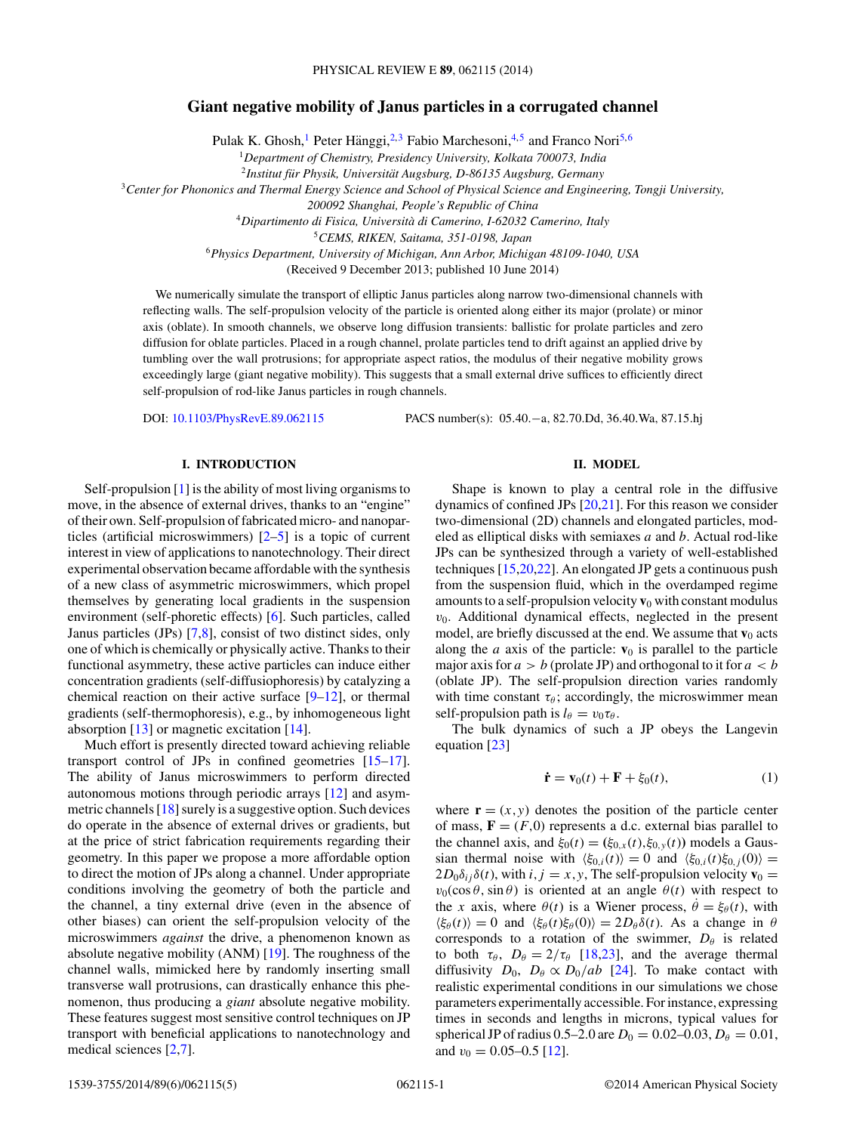# <span id="page-0-0"></span>**Giant negative mobility of Janus particles in a corrugated channel**

Pulak K. Ghosh,<sup>1</sup> Peter Hänggi, <sup>2,3</sup> Fabio Marchesoni, <sup>4,5</sup> and Franco Nori<sup>5,6</sup>

<sup>1</sup>*Department of Chemistry, Presidency University, Kolkata 700073, India*

<sup>2</sup> Institut für Physik, Universität Augsburg, D-86135 Augsburg, Germany

<sup>3</sup>*Center for Phononics and Thermal Energy Science and School of Physical Science and Engineering, Tongji University,*

*200092 Shanghai, People's Republic of China*

<sup>4</sup>*Dipartimento di Fisica, Universita di Camerino, I-62032 Camerino, Italy `*

<sup>5</sup>*CEMS, RIKEN, Saitama, 351-0198, Japan*

<sup>6</sup>*Physics Department, University of Michigan, Ann Arbor, Michigan 48109-1040, USA*

(Received 9 December 2013; published 10 June 2014)

We numerically simulate the transport of elliptic Janus particles along narrow two-dimensional channels with reflecting walls. The self-propulsion velocity of the particle is oriented along either its major (prolate) or minor axis (oblate). In smooth channels, we observe long diffusion transients: ballistic for prolate particles and zero diffusion for oblate particles. Placed in a rough channel, prolate particles tend to drift against an applied drive by tumbling over the wall protrusions; for appropriate aspect ratios, the modulus of their negative mobility grows exceedingly large (giant negative mobility). This suggests that a small external drive suffices to efficiently direct self-propulsion of rod-like Janus particles in rough channels.

DOI: [10.1103/PhysRevE.89.062115](http://dx.doi.org/10.1103/PhysRevE.89.062115) PACS number(s): 05*.*40*.*−a*,* 82*.*70*.*Dd*,* 36*.*40*.*Wa*,* 87*.*15*.*hj

### **I. INTRODUCTION**

Self-propulsion [\[1\]](#page-4-0) is the ability of most living organisms to move, in the absence of external drives, thanks to an "engine" of their own. Self-propulsion of fabricated micro- and nanoparticles (artificial microswimmers) [\[2–5\]](#page-4-0) is a topic of current interest in view of applications to nanotechnology. Their direct experimental observation became affordable with the synthesis of a new class of asymmetric microswimmers, which propel themselves by generating local gradients in the suspension environment (self-phoretic effects) [\[6\]](#page-4-0). Such particles, called Janus particles (JPs) [\[7,8\]](#page-4-0), consist of two distinct sides, only one of which is chemically or physically active. Thanks to their functional asymmetry, these active particles can induce either concentration gradients (self-diffusiophoresis) by catalyzing a chemical reaction on their active surface  $[9-12]$ , or thermal gradients (self-thermophoresis), e.g., by inhomogeneous light absorption  $[13]$  or magnetic excitation  $[14]$ .

Much effort is presently directed toward achieving reliable transport control of JPs in confined geometries [\[15–17\]](#page-4-0). The ability of Janus microswimmers to perform directed autonomous motions through periodic arrays [\[12\]](#page-4-0) and asymmetric channels [\[18\]](#page-4-0) surely is a suggestive option. Such devices do operate in the absence of external drives or gradients, but at the price of strict fabrication requirements regarding their geometry. In this paper we propose a more affordable option to direct the motion of JPs along a channel. Under appropriate conditions involving the geometry of both the particle and the channel, a tiny external drive (even in the absence of other biases) can orient the self-propulsion velocity of the microswimmers *against* the drive, a phenomenon known as absolute negative mobility (ANM) [\[19\]](#page-4-0). The roughness of the channel walls, mimicked here by randomly inserting small transverse wall protrusions, can drastically enhance this phenomenon, thus producing a *giant* absolute negative mobility. These features suggest most sensitive control techniques on JP transport with beneficial applications to nanotechnology and medical sciences [\[2,7\]](#page-4-0).

## **II. MODEL**

Shape is known to play a central role in the diffusive dynamics of confined JPs [\[20,21\]](#page-4-0). For this reason we consider two-dimensional (2D) channels and elongated particles, modeled as elliptical disks with semiaxes *a* and *b*. Actual rod-like JPs can be synthesized through a variety of well-established techniques [\[15,20,22\]](#page-4-0). An elongated JP gets a continuous push from the suspension fluid, which in the overdamped regime amounts to a self-propulsion velocity  $\mathbf{v}_0$  with constant modulus  $v<sub>0</sub>$ . Additional dynamical effects, neglected in the present model, are briefly discussed at the end. We assume that  $\mathbf{v}_0$  acts along the *a* axis of the particle:  $\mathbf{v}_0$  is parallel to the particle major axis for  $a > b$  (prolate JP) and orthogonal to it for  $a < b$ (oblate JP). The self-propulsion direction varies randomly with time constant  $\tau_{\theta}$ ; accordingly, the microswimmer mean self-propulsion path is  $l_{\theta} = v_0 \tau_{\theta}$ .

The bulk dynamics of such a JP obeys the Langevin equation [\[23\]](#page-4-0)

$$
\dot{\mathbf{r}} = \mathbf{v}_0(t) + \mathbf{F} + \xi_0(t),\tag{1}
$$

where  $\mathbf{r} = (x, y)$  denotes the position of the particle center of mass,  $\mathbf{F} = (F, 0)$  represents a d.c. external bias parallel to the channel axis, and  $\xi_0(t) = (\xi_{0,x}(t), \xi_{0,y}(t))$  models a Gaussian thermal noise with  $\langle \xi_{0,i}(t) \rangle = 0$  and  $\langle \xi_{0,i}(t) \xi_{0,j}(0) \rangle =$  $2D_0\delta_{ij}\delta(t)$ , with  $i, j = x, y$ , The self-propulsion velocity  $\mathbf{v}_0 =$  $v_0(\cos\theta, \sin\theta)$  is oriented at an angle  $\theta(t)$  with respect to the *x* axis, where  $\theta(t)$  is a Wiener process,  $\dot{\theta} = \xi_{\theta}(t)$ , with  $\langle \xi_{\theta}(t) \rangle = 0$  and  $\langle \xi_{\theta}(t) \xi_{\theta}(0) \rangle = 2D_{\theta} \delta(t)$ . As a change in  $\theta$ corresponds to a rotation of the swimmer,  $D_{\theta}$  is related to both  $\tau_{\theta}$ ,  $D_{\theta} = 2/\tau_{\theta}$  [\[18,23\]](#page-4-0), and the average thermal diffusivity  $D_0$ ,  $D_\theta \propto D_0/ab$  [\[24\]](#page-4-0). To make contact with realistic experimental conditions in our simulations we chose parameters experimentally accessible. For instance, expressing times in seconds and lengths in microns, typical values for spherical JP of radius  $0.5-2.0$  are  $D_0 = 0.02-0.03$ ,  $D_\theta = 0.01$ , and  $v_0 = 0.05 - 0.5$  [\[12\]](#page-4-0).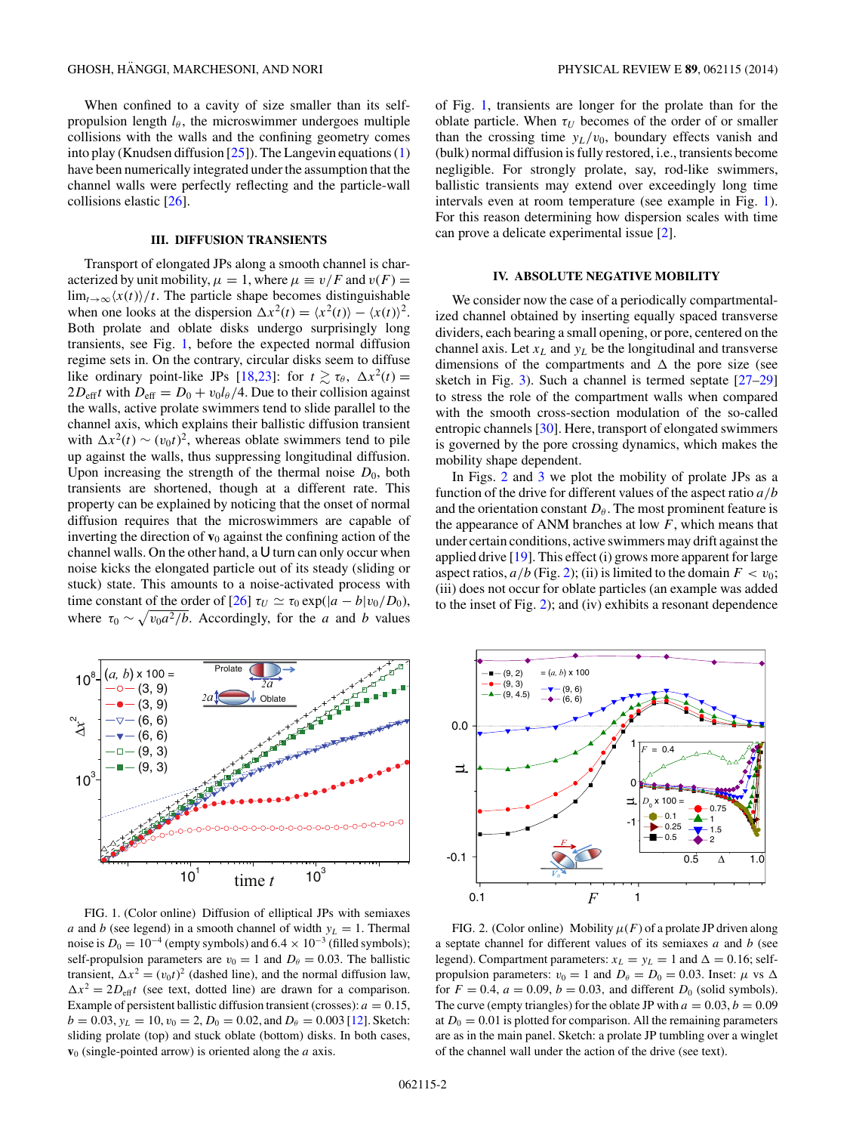<span id="page-1-0"></span>When confined to a cavity of size smaller than its selfpropulsion length  $l_{\theta}$ , the microswimmer undergoes multiple collisions with the walls and the confining geometry comes into play (Knudsen diffusion  $[25]$ ). The Langevin equations  $(1)$ have been numerically integrated under the assumption that the channel walls were perfectly reflecting and the particle-wall collisions elastic [\[26\]](#page-4-0).

### **III. DIFFUSION TRANSIENTS**

Transport of elongated JPs along a smooth channel is characterized by unit mobility,  $\mu = 1$ , where  $\mu \equiv v/F$  and  $v(F) =$  $\lim_{t\to\infty} \frac{x(t)}{t}$ . The particle shape becomes distinguishable when one looks at the dispersion  $\Delta x^2(t) = \langle x^2(t) \rangle - \langle x(t) \rangle^2$ . Both prolate and oblate disks undergo surprisingly long transients, see Fig. 1, before the expected normal diffusion regime sets in. On the contrary, circular disks seem to diffuse like ordinary point-like JPs [\[18,23\]](#page-4-0): for  $t \gtrsim \tau_{\theta}$ ,  $\Delta x^2(t) =$  $2D_{\text{eff}}t$  with  $D_{\text{eff}} = D_0 + v_0 l_\theta/4$ . Due to their collision against the walls, active prolate swimmers tend to slide parallel to the channel axis, which explains their ballistic diffusion transient with  $\Delta x^2(t) \sim (v_0 t)^2$ , whereas oblate swimmers tend to pile up against the walls, thus suppressing longitudinal diffusion. Upon increasing the strength of the thermal noise  $D_0$ , both transients are shortened, though at a different rate. This property can be explained by noticing that the onset of normal diffusion requires that the microswimmers are capable of inverting the direction of  $\mathbf{v}_0$  against the confining action of the channel walls. On the other hand, a U turn can only occur when noise kicks the elongated particle out of its steady (sliding or stuck) state. This amounts to a noise-activated process with time constant of the order of  $[26]$   $\tau_U \simeq \tau_0 \exp((a - b)v_0/D_0)$ , where  $\tau_0 \sim \sqrt{v_0 a^2/b}$ . Accordingly, for the *a* and *b* values



FIG. 1. (Color online) Diffusion of elliptical JPs with semiaxes *a* and *b* (see legend) in a smooth channel of width  $y_L = 1$ . Thermal noise is  $D_0 = 10^{-4}$  (empty symbols) and  $6.4 \times 10^{-3}$  (filled symbols); self-propulsion parameters are  $v_0 = 1$  and  $D_\theta = 0.03$ . The ballistic transient,  $\Delta x^2 = (v_0 t)^2$  (dashed line), and the normal diffusion law,  $\Delta x^2 = 2D_{\text{eff}}t$  (see text, dotted line) are drawn for a comparison. Example of persistent ballistic diffusion transient (crosses):  $a = 0.15$ ,  $b = 0.03$ ,  $y_L = 10$ ,  $v_0 = 2$ ,  $D_0 = 0.02$ , and  $D_\theta = 0.003$  [\[12\]](#page-4-0). Sketch: sliding prolate (top) and stuck oblate (bottom) disks. In both cases, **v**<sup>0</sup> (single-pointed arrow) is oriented along the *a* axis.

of Fig. 1, transients are longer for the prolate than for the oblate particle. When  $\tau_U$  becomes of the order of or smaller than the crossing time  $y_L/v_0$ , boundary effects vanish and (bulk) normal diffusion is fully restored, i.e., transients become negligible. For strongly prolate, say, rod-like swimmers, ballistic transients may extend over exceedingly long time intervals even at room temperature (see example in Fig. 1). For this reason determining how dispersion scales with time can prove a delicate experimental issue [\[2\]](#page-4-0).

#### **IV. ABSOLUTE NEGATIVE MOBILITY**

We consider now the case of a periodically compartmentalized channel obtained by inserting equally spaced transverse dividers, each bearing a small opening, or pore, centered on the channel axis. Let  $x_L$  and  $y_L$  be the longitudinal and transverse dimensions of the compartments and  $\Delta$  the pore size (see sketch in Fig. [3\)](#page-2-0). Such a channel is termed septate [\[27–29\]](#page-4-0) to stress the role of the compartment walls when compared with the smooth cross-section modulation of the so-called entropic channels [\[30\]](#page-4-0). Here, transport of elongated swimmers is governed by the pore crossing dynamics, which makes the mobility shape dependent.

In Figs. 2 and [3](#page-2-0) we plot the mobility of prolate JPs as a function of the drive for different values of the aspect ratio *a/b* and the orientation constant  $D_{\theta}$ . The most prominent feature is the appearance of ANM branches at low *F*, which means that under certain conditions, active swimmers may drift against the applied drive  $[19]$ . This effect (i) grows more apparent for large aspect ratios,  $a/b$  (Fig. 2); (ii) is limited to the domain  $F < v_0$ ; (iii) does not occur for oblate particles (an example was added to the inset of Fig. 2); and (iv) exhibits a resonant dependence



FIG. 2. (Color online) Mobility  $\mu(F)$  of a prolate JP driven along a septate channel for different values of its semiaxes *a* and *b* (see legend). Compartment parameters:  $x_L = y_L = 1$  and  $\Delta = 0.16$ ; selfpropulsion parameters:  $v_0 = 1$  and  $D_\theta = D_0 = 0.03$ . Inset:  $\mu$  vs  $\Delta$ for  $F = 0.4$ ,  $a = 0.09$ ,  $b = 0.03$ , and different  $D_0$  (solid symbols). The curve (empty triangles) for the oblate JP with  $a = 0.03, b = 0.09$ at  $D_0 = 0.01$  is plotted for comparison. All the remaining parameters are as in the main panel. Sketch: a prolate JP tumbling over a winglet of the channel wall under the action of the drive (see text).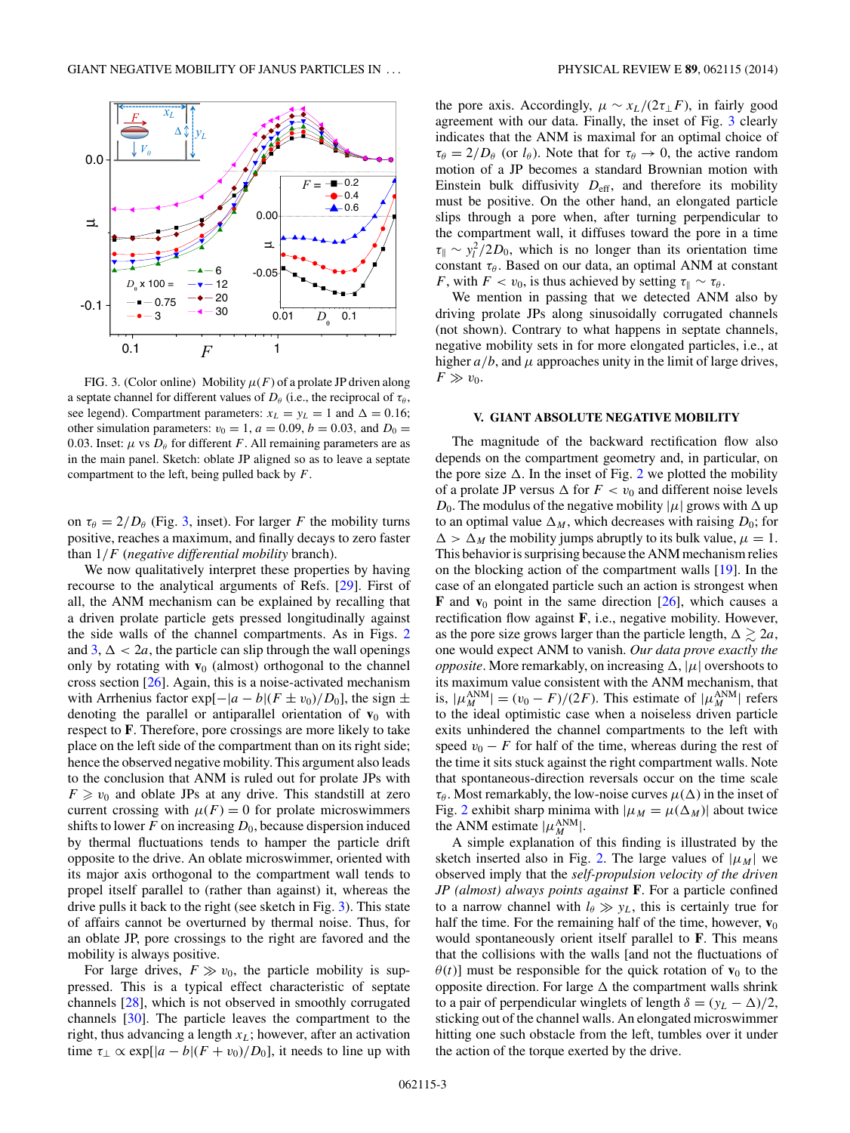<span id="page-2-0"></span>

FIG. 3. (Color online) Mobility  $\mu(F)$  of a prolate JP driven along a septate channel for different values of  $D_\theta$  (i.e., the reciprocal of  $\tau_\theta$ , see legend). Compartment parameters:  $x_L = y_L = 1$  and  $\Delta = 0.16$ ; other simulation parameters:  $v_0 = 1$ ,  $a = 0.09$ ,  $b = 0.03$ , and  $D_0 =$ 0.03. Inset:  $\mu$  vs  $D_{\theta}$  for different *F*. All remaining parameters are as in the main panel. Sketch: oblate JP aligned so as to leave a septate compartment to the left, being pulled back by *F*.

on  $\tau_{\theta} = 2/D_{\theta}$  (Fig. 3, inset). For larger *F* the mobility turns positive, reaches a maximum, and finally decays to zero faster than 1*/F* (*negative differential mobility* branch).

We now qualitatively interpret these properties by having recourse to the analytical arguments of Refs. [\[29\]](#page-4-0). First of all, the ANM mechanism can be explained by recalling that a driven prolate particle gets pressed longitudinally against the side walls of the channel compartments. As in Figs. [2](#page-1-0) and  $3, \Delta < 2a$ , the particle can slip through the wall openings only by rotating with  $\mathbf{v}_0$  (almost) orthogonal to the channel cross section  $[26]$ . Again, this is a noise-activated mechanism with Arrhenius factor  $\exp[-|a-b|(F \pm v_0)/D_0]$ , the sign  $\pm$ denoting the parallel or antiparallel orientation of  $v_0$  with respect to **F**. Therefore, pore crossings are more likely to take place on the left side of the compartment than on its right side; hence the observed negative mobility. This argument also leads to the conclusion that ANM is ruled out for prolate JPs with  $F \ge v_0$  and oblate JPs at any drive. This standstill at zero current crossing with  $\mu(F) = 0$  for prolate microswimmers shifts to lower  $F$  on increasing  $D_0$ , because dispersion induced by thermal fluctuations tends to hamper the particle drift opposite to the drive. An oblate microswimmer, oriented with its major axis orthogonal to the compartment wall tends to propel itself parallel to (rather than against) it, whereas the drive pulls it back to the right (see sketch in Fig. 3). This state of affairs cannot be overturned by thermal noise. Thus, for an oblate JP, pore crossings to the right are favored and the mobility is always positive.

For large drives,  $F \gg v_0$ , the particle mobility is suppressed. This is a typical effect characteristic of septate channels [\[28\]](#page-4-0), which is not observed in smoothly corrugated channels [\[30\]](#page-4-0). The particle leaves the compartment to the right, thus advancing a length  $x_L$ ; however, after an activation time  $\tau_{\perp} \propto \exp[|a-b|(F+v_0)/D_0]$ , it needs to line up with the pore axis. Accordingly,  $\mu \sim x_L/(2\tau_{\perp}F)$ , in fairly good agreement with our data. Finally, the inset of Fig. 3 clearly indicates that the ANM is maximal for an optimal choice of  $\tau_{\theta} = 2/D_{\theta}$  (or  $l_{\theta}$ ). Note that for  $\tau_{\theta} \rightarrow 0$ , the active random motion of a JP becomes a standard Brownian motion with Einstein bulk diffusivity  $D_{\text{eff}}$ , and therefore its mobility must be positive. On the other hand, an elongated particle slips through a pore when, after turning perpendicular to the compartment wall, it diffuses toward the pore in a time  $\tau_{\parallel} \sim y_l^2/2D_0$ , which is no longer than its orientation time constant *τ*<sub>θ</sub>. Based on our data, an optimal ANM at constant *F*, with  $F < v_0$ , is thus achieved by setting  $\tau_{\parallel} \sim \tau_{\theta}$ .

We mention in passing that we detected ANM also by driving prolate JPs along sinusoidally corrugated channels (not shown). Contrary to what happens in septate channels, negative mobility sets in for more elongated particles, i.e., at higher  $a/b$ , and  $\mu$  approaches unity in the limit of large drives,  $F \gg v_0$ .

#### **V. GIANT ABSOLUTE NEGATIVE MOBILITY**

The magnitude of the backward rectification flow also depends on the compartment geometry and, in particular, on the pore size  $\Delta$ . In the inset of Fig. [2](#page-1-0) we plotted the mobility of a prolate JP versus  $\Delta$  for  $F < v_0$  and different noise levels *D*<sub>0</sub>. The modulus of the negative mobility  $|\mu|$  grows with  $\Delta$  up to an optimal value  $\Delta_M$ , which decreases with raising  $D_0$ ; for  $\Delta > \Delta_M$  the mobility jumps abruptly to its bulk value,  $\mu = 1$ . This behavior is surprising because the ANM mechanism relies on the blocking action of the compartment walls [\[19\]](#page-4-0). In the case of an elongated particle such an action is strongest when **F** and  $v_0$  point in the same direction [\[26\]](#page-4-0), which causes a rectification flow against **F**, i.e., negative mobility. However, as the pore size grows larger than the particle length,  $\Delta \gtrsim 2a$ , one would expect ANM to vanish. *Our data prove exactly the opposite*. More remarkably, on increasing  $\Delta$ ,  $|\mu|$  overshoots to its maximum value consistent with the ANM mechanism, that is,  $|\mu_M^{\text{ANM}}| = (v_0 - F)/(2F)$ . This estimate of  $|\mu_M^{\text{ANM}}|$  refers to the ideal optimistic case when a noiseless driven particle exits unhindered the channel compartments to the left with speed  $v_0 - F$  for half of the time, whereas during the rest of the time it sits stuck against the right compartment walls. Note that spontaneous-direction reversals occur on the time scale  $\tau_{\theta}$ . Most remarkably, the low-noise curves  $\mu(\Delta)$  in the inset of Fig. [2](#page-1-0) exhibit sharp minima with  $|\mu_M = \mu(\Delta_M)|$  about twice the ANM estimate  $|\mu_M^{\text{ANM}}|$ .

A simple explanation of this finding is illustrated by the sketch inserted also in Fig. [2.](#page-1-0) The large values of  $|\mu_M|$  we observed imply that the *self-propulsion velocity of the driven JP (almost) always points against* **F**. For a particle confined to a narrow channel with  $l_{\theta} \gg y_L$ , this is certainly true for half the time. For the remaining half of the time, however,  $\mathbf{v}_0$ would spontaneously orient itself parallel to **F**. This means that the collisions with the walls [and not the fluctuations of  $\theta(t)$ ] must be responsible for the quick rotation of **v**<sub>0</sub> to the opposite direction. For large  $\Delta$  the compartment walls shrink to a pair of perpendicular winglets of length  $\delta = (y_L - \Delta)/2$ , sticking out of the channel walls. An elongated microswimmer hitting one such obstacle from the left, tumbles over it under the action of the torque exerted by the drive.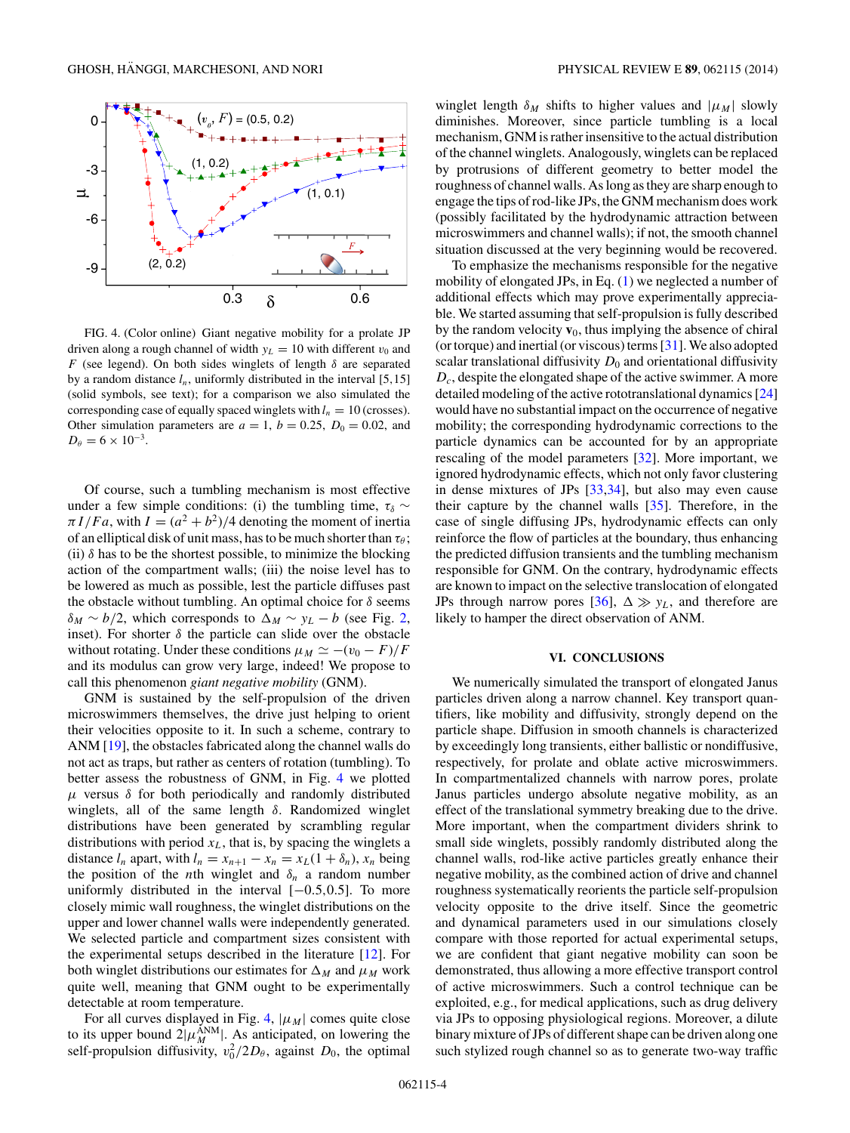

FIG. 4. (Color online) Giant negative mobility for a prolate JP driven along a rough channel of width  $y_L = 10$  with different  $v_0$  and *F* (see legend). On both sides winglets of length  $\delta$  are separated by a random distance  $l_n$ , uniformly distributed in the interval [5,15] (solid symbols, see text); for a comparison we also simulated the corresponding case of equally spaced winglets with  $l_n = 10$  (crosses). Other simulation parameters are  $a = 1$ ,  $b = 0.25$ ,  $D_0 = 0.02$ , and  $D_{\theta} = 6 \times 10^{-3}$ .

Of course, such a tumbling mechanism is most effective under a few simple conditions: (i) the tumbling time,  $\tau_{\delta} \sim$  $\pi I/Fa$ , with  $I = (a^2 + b^2)/4$  denoting the moment of inertia of an elliptical disk of unit mass, has to be much shorter than  $\tau_\theta$ ; (ii)  $\delta$  has to be the shortest possible, to minimize the blocking action of the compartment walls; (iii) the noise level has to be lowered as much as possible, lest the particle diffuses past the obstacle without tumbling. An optimal choice for *δ* seems  $\delta_M \sim b/2$ , which corresponds to  $\Delta_M \sim y_L - b$  (see Fig. [2,](#page-1-0) inset). For shorter  $\delta$  the particle can slide over the obstacle without rotating. Under these conditions  $\mu_M \simeq -(v_0 - F)/F$ and its modulus can grow very large, indeed! We propose to call this phenomenon *giant negative mobility* (GNM).

GNM is sustained by the self-propulsion of the driven microswimmers themselves, the drive just helping to orient their velocities opposite to it. In such a scheme, contrary to ANM [\[19\]](#page-4-0), the obstacles fabricated along the channel walls do not act as traps, but rather as centers of rotation (tumbling). To better assess the robustness of GNM, in Fig. 4 we plotted  $μ$  versus  $δ$  for both periodically and randomly distributed winglets, all of the same length *δ*. Randomized winglet distributions have been generated by scrambling regular distributions with period  $x<sub>L</sub>$ , that is, by spacing the winglets a distance  $l_n$  apart, with  $l_n = x_{n+1} - x_n = x_L(1 + \delta_n)$ ,  $x_n$  being the position of the *n*th winglet and  $\delta_n$  a random number uniformly distributed in the interval [−0*.*5*,*0*.*5]. To more closely mimic wall roughness, the winglet distributions on the upper and lower channel walls were independently generated. We selected particle and compartment sizes consistent with the experimental setups described in the literature [\[12\]](#page-4-0). For both winglet distributions our estimates for  $\Delta_M$  and  $\mu_M$  work quite well, meaning that GNM ought to be experimentally detectable at room temperature.

For all curves displayed in Fig. 4,  $|\mu_M|$  comes quite close to its upper bound  $2|\mu_M^{\text{ANM}}|$ . As anticipated, on lowering the self-propulsion diffusivity,  $v_0^2/2D_\theta$ , against  $D_0$ , the optimal

winglet length  $\delta_M$  shifts to higher values and  $|\mu_M|$  slowly diminishes. Moreover, since particle tumbling is a local mechanism, GNM is rather insensitive to the actual distribution of the channel winglets. Analogously, winglets can be replaced by protrusions of different geometry to better model the roughness of channel walls. As long as they are sharp enough to engage the tips of rod-like JPs, the GNM mechanism does work (possibly facilitated by the hydrodynamic attraction between microswimmers and channel walls); if not, the smooth channel situation discussed at the very beginning would be recovered.

To emphasize the mechanisms responsible for the negative mobility of elongated JPs, in Eq. [\(1\)](#page-0-0) we neglected a number of additional effects which may prove experimentally appreciable. We started assuming that self-propulsion is fully described by the random velocity  $\mathbf{v}_0$ , thus implying the absence of chiral (or torque) and inertial (or viscous) terms [\[31\]](#page-4-0). We also adopted scalar translational diffusivity  $D_0$  and orientational diffusivity *Dc*, despite the elongated shape of the active swimmer. A more detailed modeling of the active rototranslational dynamics [\[24\]](#page-4-0) would have no substantial impact on the occurrence of negative mobility; the corresponding hydrodynamic corrections to the particle dynamics can be accounted for by an appropriate rescaling of the model parameters [\[32\]](#page-4-0). More important, we ignored hydrodynamic effects, which not only favor clustering in dense mixtures of JPs [\[33,34\]](#page-4-0), but also may even cause their capture by the channel walls [\[35\]](#page-4-0). Therefore, in the case of single diffusing JPs, hydrodynamic effects can only reinforce the flow of particles at the boundary, thus enhancing the predicted diffusion transients and the tumbling mechanism responsible for GNM. On the contrary, hydrodynamic effects are known to impact on the selective translocation of elongated JPs through narrow pores [\[36\]](#page-4-0),  $\Delta \gg y_L$ , and therefore are likely to hamper the direct observation of ANM.

## **VI. CONCLUSIONS**

We numerically simulated the transport of elongated Janus particles driven along a narrow channel. Key transport quantifiers, like mobility and diffusivity, strongly depend on the particle shape. Diffusion in smooth channels is characterized by exceedingly long transients, either ballistic or nondiffusive, respectively, for prolate and oblate active microswimmers. In compartmentalized channels with narrow pores, prolate Janus particles undergo absolute negative mobility, as an effect of the translational symmetry breaking due to the drive. More important, when the compartment dividers shrink to small side winglets, possibly randomly distributed along the channel walls, rod-like active particles greatly enhance their negative mobility, as the combined action of drive and channel roughness systematically reorients the particle self-propulsion velocity opposite to the drive itself. Since the geometric and dynamical parameters used in our simulations closely compare with those reported for actual experimental setups, we are confident that giant negative mobility can soon be demonstrated, thus allowing a more effective transport control of active microswimmers. Such a control technique can be exploited, e.g., for medical applications, such as drug delivery via JPs to opposing physiological regions. Moreover, a dilute binary mixture of JPs of different shape can be driven along one such stylized rough channel so as to generate two-way traffic